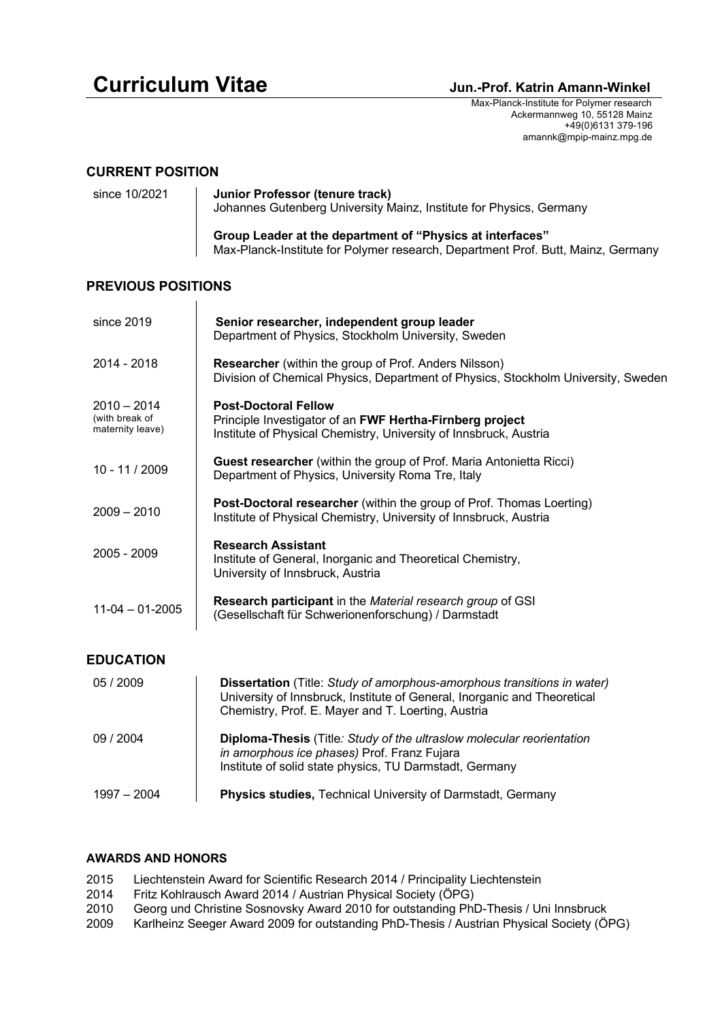# **Curriculum Vitae Curriculum Vitae Amann-Winkel**

 Max-Planck-Institute for Polymer research Ackermannweg 10, 55128 Mainz +49(0)6131 379-196 amannk@mpip-mainz.mpg.de

## **CURRENT POSITION**

| since 10/2021 | Junior Professor (tenure track)<br>Johannes Gutenberg University Mainz, Institute for Physics, Germany                                        |
|---------------|-----------------------------------------------------------------------------------------------------------------------------------------------|
|               | Group Leader at the department of "Physics at interfaces"<br>Max-Planck-Institute for Polymer research, Department Prof. Butt, Mainz, Germany |

# **PREVIOUS POSITIONS**

 $\overline{1}$ 

| since 2019                                          | Senior researcher, independent group leader<br>Department of Physics, Stockholm University, Sweden                                                                                                        |  |
|-----------------------------------------------------|-----------------------------------------------------------------------------------------------------------------------------------------------------------------------------------------------------------|--|
| 2014 - 2018                                         | Researcher (within the group of Prof. Anders Nilsson)<br>Division of Chemical Physics, Department of Physics, Stockholm University, Sweden                                                                |  |
| $2010 - 2014$<br>(with break of<br>maternity leave) | <b>Post-Doctoral Fellow</b><br>Principle Investigator of an FWF Hertha-Firnberg project<br>Institute of Physical Chemistry, University of Innsbruck, Austria                                              |  |
| 10 - 11 / 2009                                      | Guest researcher (within the group of Prof. Maria Antonietta Ricci)<br>Department of Physics, University Roma Tre, Italy                                                                                  |  |
| $2009 - 2010$                                       | Post-Doctoral researcher (within the group of Prof. Thomas Loerting)<br>Institute of Physical Chemistry, University of Innsbruck, Austria                                                                 |  |
| 2005 - 2009                                         | <b>Research Assistant</b><br>Institute of General, Inorganic and Theoretical Chemistry,<br>University of Innsbruck, Austria                                                                               |  |
| $11-04 - 01-2005$                                   | Research participant in the Material research group of GSI<br>(Gesellschaft für Schwerionenforschung) / Darmstadt                                                                                         |  |
| <b>EDUCATION</b>                                    |                                                                                                                                                                                                           |  |
| 05 / 2009                                           | Dissertation (Title: Study of amorphous-amorphous transitions in water)<br>University of Innsbruck, Institute of General, Inorganic and Theoretical<br>Chemistry, Prof. E. Mayer and T. Loerting, Austria |  |
| 09 / 2004                                           | Diploma-Thesis (Title: Study of the ultraslow molecular reorientation<br>in amorphous ice phases) Prof. Franz Fujara<br>Institute of solid state physics, TU Darmstadt, Germany                           |  |
| $1997 - 2004$                                       | Physics studies, Technical University of Darmstadt, Germany                                                                                                                                               |  |

#### **AWARDS AND HONORS**

- 2015 Liechtenstein Award for Scientific Research 2014 / Principality Liechtenstein
- 2014 Fritz Kohlrausch Award 2014 / Austrian Physical Society (ÖPG)
- 2010 Georg und Christine Sosnovsky Award 2010 for outstanding PhD-Thesis / Uni Innsbruck<br>2009 Karlheinz Seeger Award 2009 for outstanding PhD-Thesis / Austrian Physical Society (Ö)
- 2009 Karlheinz Seeger Award 2009 for outstanding PhD-Thesis / Austrian Physical Society (ÖPG)